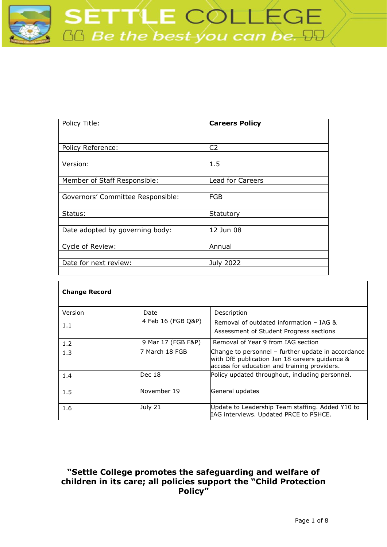

| Policy Title:                     | <b>Careers Policy</b> |
|-----------------------------------|-----------------------|
|                                   |                       |
| Policy Reference:                 | C <sub>2</sub>        |
|                                   |                       |
| Version:                          | 1.5                   |
|                                   |                       |
| Member of Staff Responsible:      | Lead for Careers      |
|                                   |                       |
| Governors' Committee Responsible: | <b>FGB</b>            |
|                                   |                       |
| Status:                           | Statutory             |
|                                   |                       |
| Date adopted by governing body:   | 12 Jun 08             |
|                                   |                       |
| Cycle of Review:                  | Annual                |
|                                   |                       |
| Date for next review:             | <b>July 2022</b>      |
|                                   |                       |

| <b>Change Record</b> |                    |                                                                                                                                                      |
|----------------------|--------------------|------------------------------------------------------------------------------------------------------------------------------------------------------|
| Version              | Date               | Description                                                                                                                                          |
| 1.1                  | 4 Feb 16 (FGB Q&P) | Removal of outdated information - IAG &<br>Assessment of Student Progress sections                                                                   |
| 1.2                  | 9 Mar 17 (FGB F&P) | Removal of Year 9 from IAG section                                                                                                                   |
| 1.3                  | 7 March 18 FGB     | Change to personnel - further update in accordance<br>with DfE publication Jan 18 careers guidance &<br>access for education and training providers. |
| 1.4                  | Dec 18             | Policy updated throughout, including personnel.                                                                                                      |
| 1.5                  | November 19        | General updates                                                                                                                                      |
| 1.6                  | July 21            | Update to Leadership Team staffing. Added Y10 to<br>IAG interviews. Updated PRCE to PSHCE.                                                           |

# **"Settle College promotes the safeguarding and welfare of children in its care; all policies support the "Child Protection Policy"**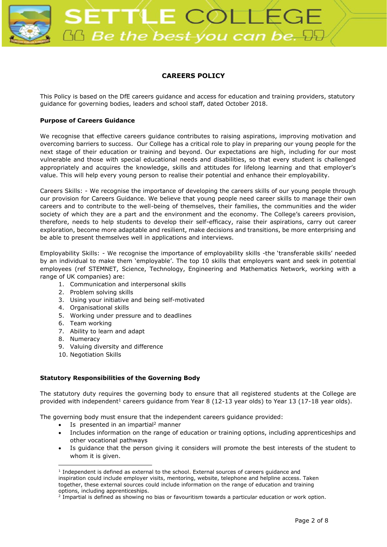

# **CAREERS POLICY**

This Policy is based on the DfE careers guidance and access for education and training providers, statutory guidance for governing bodies, leaders and school staff, dated October 2018.

# **Purpose of Careers Guidance**

We recognise that effective careers guidance contributes to raising aspirations, improving motivation and overcoming barriers to success. Our College has a critical role to play in preparing our young people for the next stage of their education or training and beyond. Our expectations are high, including for our most vulnerable and those with special educational needs and disabilities, so that every student is challenged appropriately and acquires the knowledge, skills and attitudes for lifelong learning and that employer's value. This will help every young person to realise their potential and enhance their employability.

Careers Skills: - We recognise the importance of developing the careers skills of our young people through our provision for Careers Guidance. We believe that young people need career skills to manage their own careers and to contribute to the well-being of themselves, their families, the communities and the wider society of which they are a part and the environment and the economy. The College's careers provision, therefore, needs to help students to develop their self-efficacy, raise their aspirations, carry out career exploration, become more adaptable and resilient, make decisions and transitions, be more enterprising and be able to present themselves well in applications and interviews.

Employability Skills: - We recognise the importance of employability skills -the 'transferable skills' needed by an individual to make them 'employable'. The top 10 skills that employers want and seek in potential employees (ref STEMNET, Science, Technology, Engineering and Mathematics Network, working with a range of UK companies) are:

- 1. Communication and interpersonal skills
- 2. Problem solving skills
- 3. Using your initiative and being self-motivated
- 4. Organisational skills
- 5. Working under pressure and to deadlines
- 6. Team working
- 7. Ability to learn and adapt
- 8. Numeracy
- 9. Valuing diversity and difference
- 10. Negotiation Skills

# **Statutory Responsibilities of the Governing Body**

The statutory duty requires the governing body to ensure that all registered students at the College are provided with independent<sup>1</sup> careers guidance from Year 8 (12-13 year olds) to Year 13 (17-18 year olds).

The governing body must ensure that the independent careers guidance provided:

- $\bullet$  Is presented in an impartial<sup>2</sup> manner
- Includes information on the range of education or training options, including apprenticeships and other vocational pathways
- Is guidance that the person giving it considers will promote the best interests of the student to whom it is given.

<sup>&</sup>lt;sup>1</sup> Independent is defined as external to the school. External sources of careers guidance and inspiration could include employer visits, mentoring, website, telephone and helpline access. Taken together, these external sources could include information on the range of education and training options, including apprenticeships.

<sup>&</sup>lt;sup>2</sup> Impartial is defined as showing no bias or favouritism towards a particular education or work option.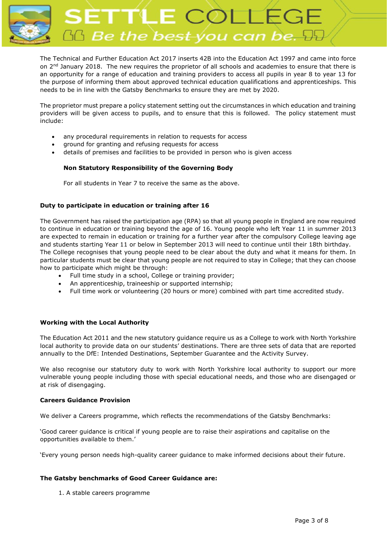

The Technical and Further Education Act 2017 inserts 42B into the Education Act 1997 and came into force on 2<sup>nd</sup> January 2018. The new requires the proprietor of all schools and academies to ensure that there is an opportunity for a range of education and training providers to access all pupils in year 8 to year 13 for the purpose of informing them about approved technical education qualifications and apprenticeships. This needs to be in line with the Gatsby Benchmarks to ensure they are met by 2020.

The proprietor must prepare a policy statement setting out the circumstances in which education and training providers will be given access to pupils, and to ensure that this is followed. The policy statement must include:

- any procedural requirements in relation to requests for access
- ground for granting and refusing requests for access
- details of premises and facilities to be provided in person who is given access

# **Non Statutory Responsibility of the Governing Body**

For all students in Year 7 to receive the same as the above.

## **Duty to participate in education or training after 16**

The Government has raised the participation age (RPA) so that all young people in England are now required to continue in education or training beyond the age of 16. Young people who left Year 11 in summer 2013 are expected to remain in education or training for a further year after the compulsory College leaving age and students starting Year 11 or below in September 2013 will need to continue until their 18th birthday. The College recognises that young people need to be clear about the duty and what it means for them. In particular students must be clear that young people are not required to stay in College; that they can choose how to participate which might be through:

- Full time study in a school, College or training provider;
- An apprenticeship, traineeship or supported internship;
- Full time work or volunteering (20 hours or more) combined with part time accredited study.

## **Working with the Local Authority**

The Education Act 2011 and the new statutory guidance require us as a College to work with North Yorkshire local authority to provide data on our students' destinations. There are three sets of data that are reported annually to the DfE: Intended Destinations, September Guarantee and the Activity Survey.

We also recognise our statutory duty to work with North Yorkshire local authority to support our more vulnerable young people including those with special educational needs, and those who are disengaged or at risk of disengaging.

## **Careers Guidance Provision**

We deliver a Careers programme, which reflects the recommendations of the Gatsby Benchmarks:

'Good career guidance is critical if young people are to raise their aspirations and capitalise on the opportunities available to them.'

'Every young person needs high-quality career guidance to make informed decisions about their future.

## **The Gatsby benchmarks of Good Career Guidance are:**

1. A stable careers programme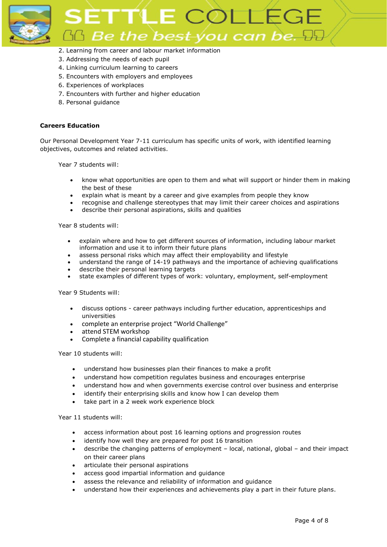

# ETTLE COLLE  $36$  Be the best you can be.  $95$

- 2. Learning from career and labour market information
- 3. Addressing the needs of each pupil
- 4. Linking curriculum learning to careers
- 5. Encounters with employers and employees
- 6. Experiences of workplaces
- 7. Encounters with further and higher education
- 8. Personal guidance

# **Careers Education**

Our Personal Development Year 7-11 curriculum has specific units of work, with identified learning objectives, outcomes and related activities.

Year 7 students will:

- know what opportunities are open to them and what will support or hinder them in making the best of these
- explain what is meant by a career and give examples from people they know
- recognise and challenge stereotypes that may limit their career choices and aspirations
- describe their personal aspirations, skills and qualities

Year 8 students will:

- explain where and how to get different sources of information, including labour market information and use it to inform their future plans
- assess personal risks which may affect their employability and lifestyle
- understand the range of 14-19 pathways and the importance of achieving qualifications
- describe their personal learning targets
- state examples of different types of work: voluntary, employment, self-employment

# Year 9 Students will:

- discuss options career pathways including further education, apprenticeships and universities
- complete an enterprise project "World Challenge"
- attend STEM workshop
- Complete a financial capability qualification

Year 10 students will:

- understand how businesses plan their finances to make a profit
- understand how competition regulates business and encourages enterprise
- understand how and when governments exercise control over business and enterprise
- identify their enterprising skills and know how I can develop them
- take part in a 2 week work experience block

## Year 11 students will:

- access information about post 16 learning options and progression routes
- identify how well they are prepared for post 16 transition
- describe the changing patterns of employment local, national, global and their impact on their career plans
- articulate their personal aspirations
- access good impartial information and guidance
- assess the relevance and reliability of information and quidance
- understand how their experiences and achievements play a part in their future plans.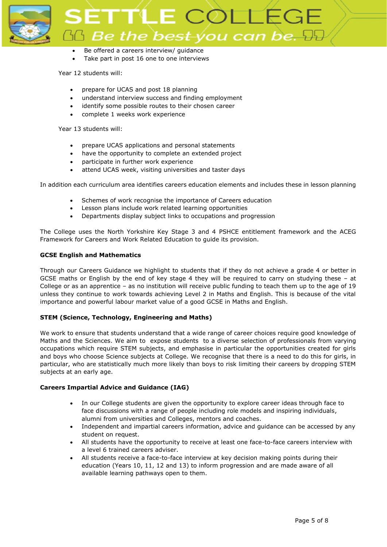

- Be offered a careers interview/ quidance
- Take part in post 16 one to one interviews

## Year 12 students will:

- prepare for UCAS and post 18 planning
- understand interview success and finding employment
- identify some possible routes to their chosen career
- complete 1 weeks work experience

Year 13 students will:

- prepare UCAS applications and personal statements
- have the opportunity to complete an extended project
- participate in further work experience
- attend UCAS week, visiting universities and taster days

In addition each curriculum area identifies careers education elements and includes these in lesson planning

- Schemes of work recognise the importance of Careers education
- Lesson plans include work related learning opportunities
- Departments display subject links to occupations and progression

The College uses the North Yorkshire Key Stage 3 and 4 PSHCE entitlement framework and the ACEG Framework for Careers and Work Related Education to guide its provision.

## **GCSE English and Mathematics**

Through our Careers Guidance we highlight to students that if they do not achieve a grade 4 or better in GCSE maths or English by the end of key stage 4 they will be required to carry on studying these – at College or as an apprentice – as no institution will receive public funding to teach them up to the age of 19 unless they continue to work towards achieving Level 2 in Maths and English. This is because of the vital importance and powerful labour market value of a good GCSE in Maths and English.

# **STEM (Science, Technology, Engineering and Maths)**

We work to ensure that students understand that a wide range of career choices require good knowledge of Maths and the Sciences. We aim to expose students to a diverse selection of professionals from varying occupations which require STEM subjects, and emphasise in particular the opportunities created for girls and boys who choose Science subjects at College. We recognise that there is a need to do this for girls, in particular, who are statistically much more likely than boys to risk limiting their careers by dropping STEM subjects at an early age.

## **Careers Impartial Advice and Guidance (IAG)**

- In our College students are given the opportunity to explore career ideas through face to face discussions with a range of people including role models and inspiring individuals, alumni from universities and Colleges, mentors and coaches.
- Independent and impartial careers information, advice and guidance can be accessed by any student on request.
- All students have the opportunity to receive at least one face-to-face careers interview with a level 6 trained careers adviser.
- All students receive a face-to-face interview at key decision making points during their education (Years 10, 11, 12 and 13) to inform progression and are made aware of all available learning pathways open to them.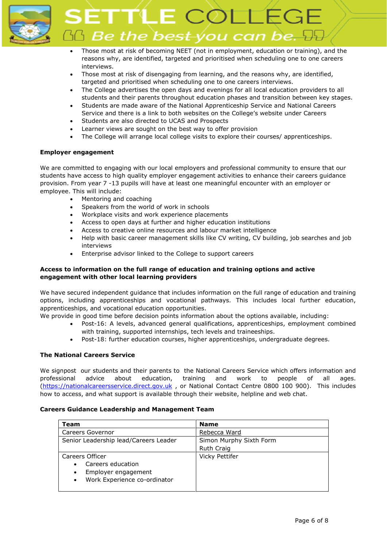

LE COLLE  $\mathbb G$  Be the best-you can be.  $\mathbb H$ 

- Those most at risk of becoming NEET (not in employment, education or training), and the reasons why, are identified, targeted and prioritised when scheduling one to one careers interviews.
- Those most at risk of disengaging from learning, and the reasons why, are identified, targeted and prioritised when scheduling one to one careers interviews.
- The College advertises the open days and evenings for all local education providers to all students and their parents throughout education phases and transition between key stages.
- Students are made aware of the National Apprenticeship Service and National Careers Service and there is a link to both websites on the College's website under Careers
- Students are also directed to UCAS and Prospects
- Learner views are sought on the best way to offer provision
- The College will arrange local college visits to explore their courses/ apprenticeships.

# **Employer engagement**

We are committed to engaging with our local employers and professional community to ensure that our students have access to high quality employer engagement activities to enhance their careers guidance provision. From year 7 -13 pupils will have at least one meaningful encounter with an employer or employee. This will include:

- Mentoring and coaching
- Speakers from the world of work in schools
- Workplace visits and work experience placements
- Access to open days at further and higher education institutions
- Access to creative online resources and labour market intelligence
- Help with basic career management skills like CV writing, CV building, job searches and job interviews
- Enterprise advisor linked to the College to support careers

# **Access to information on the full range of education and training options and active engagement with other local learning providers**

We have secured independent guidance that includes information on the full range of education and training options, including apprenticeships and vocational pathways. This includes local further education, apprenticeships, and vocational education opportunities.

We provide in good time before decision points information about the options available, including:

- Post-16: A levels, advanced general qualifications, apprenticeships, employment combined with training, supported internships, tech levels and traineeships.
- Post-18: further education courses, higher apprenticeships, undergraduate degrees.

# **The National Careers Service**

We signpost our students and their parents to the National Careers Service which offers information and professional advice about education, training and work to people of all ages. [\(https://nationalcareersservice.direct.gov.uk](https://nationalcareersservice.direct.gov.uk/) , or National Contact Centre 0800 100 900). This includes how to access, and what support is available through their website, helpline and web chat.

## **Careers Guidance Leadership and Management Team**

| Team                                      | <b>Name</b>             |
|-------------------------------------------|-------------------------|
| Careers Governor                          | Rebecca Ward            |
| Senior Leadership lead/Careers Leader     | Simon Murphy Sixth Form |
|                                           | <b>Ruth Craig</b>       |
| Careers Officer                           | Vicky Pettifer          |
| Careers education<br>$\bullet$            |                         |
| Employer engagement<br>$\bullet$          |                         |
| Work Experience co-ordinator<br>$\bullet$ |                         |
|                                           |                         |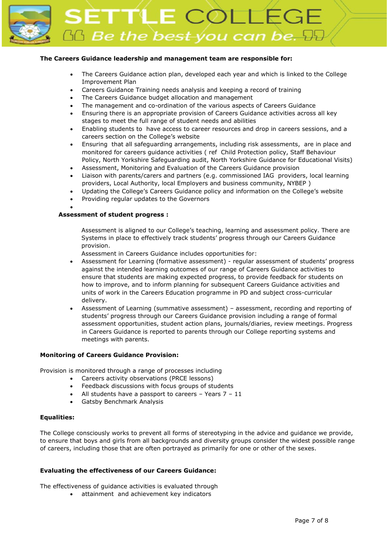

ETTLE COLLI  $\Delta$  Be the best you can be.

# **The Careers Guidance leadership and management team are responsible for:**

- The Careers Guidance action plan, developed each year and which is linked to the College Improvement Plan
- Careers Guidance Training needs analysis and keeping a record of training
- The Careers Guidance budget allocation and management
- The management and co-ordination of the various aspects of Careers Guidance
- Ensuring there is an appropriate provision of Careers Guidance activities across all key stages to meet the full range of student needs and abilities
- Enabling students to have access to career resources and drop in careers sessions, and a careers section on the College's website
- Ensuring that all safeguarding arrangements, including risk assessments, are in place and monitored for careers guidance activities ( ref Child Protection policy, Staff Behaviour Policy, North Yorkshire Safeguarding audit, North Yorkshire Guidance for Educational Visits)
- Assessment, Monitoring and Evaluation of the Careers Guidance provision
- Liaison with parents/carers and partners (e.g. commissioned IAG providers, local learning providers, Local Authority, local Employers and business community, NYBEP )
- Updating the College's Careers Guidance policy and information on the College's website
- Providing regular updates to the Governors

## **Assessment of student progress :**

•

Assessment is aligned to our College's teaching, learning and assessment policy. There are Systems in place to effectively track students' progress through our Careers Guidance provision.

Assessment in Careers Guidance includes opportunities for:

- Assessment for Learning (formative assessment) regular assessment of students' progress against the intended learning outcomes of our range of Careers Guidance activities to ensure that students are making expected progress, to provide feedback for students on how to improve, and to inform planning for subsequent Careers Guidance activities and units of work in the Careers Education programme in PD and subject cross-curricular delivery.
- Assessment of Learning (summative assessment) assessment, recording and reporting of students' progress through our Careers Guidance provision including a range of formal assessment opportunities, student action plans, journals/diaries, review meetings. Progress in Careers Guidance is reported to parents through our College reporting systems and meetings with parents.

## **Monitoring of Careers Guidance Provision:**

Provision is monitored through a range of processes including

- Careers activity observations (PRCE lessons)
- Feedback discussions with focus groups of students
- All students have a passport to careers  $-$  Years  $7 11$
- Gatsby Benchmark Analysis

## **Equalities:**

The College consciously works to prevent all forms of stereotyping in the advice and guidance we provide, to ensure that boys and girls from all backgrounds and diversity groups consider the widest possible range of careers, including those that are often portrayed as primarily for one or other of the sexes.

## **Evaluating the effectiveness of our Careers Guidance:**

The effectiveness of guidance activities is evaluated through

• attainment and achievement key indicators